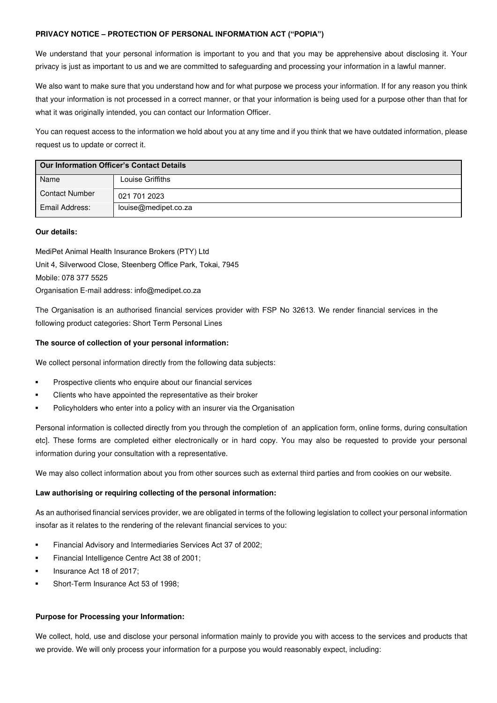### **PRIVACY NOTICE – PROTECTION OF PERSONAL INFORMATION ACT ("POPIA")**

We understand that your personal information is important to you and that you may be apprehensive about disclosing it. Your privacy is just as important to us and we are committed to safeguarding and processing your information in a lawful manner.

We also want to make sure that you understand how and for what purpose we process your information. If for any reason you think that your information is not processed in a correct manner, or that your information is being used for a purpose other than that for what it was originally intended, you can contact our Information Officer.

You can request access to the information we hold about you at any time and if you think that we have outdated information, please request us to update or correct it.

| <b>Our Information Officer's Contact Details</b> |                      |  |
|--------------------------------------------------|----------------------|--|
| Name                                             | Louise Griffiths     |  |
| <b>Contact Number</b>                            | 021 701 2023         |  |
| Email Address:                                   | louise@medipet.co.za |  |

#### **Our details:**

MediPet Animal Health Insurance Brokers (PTY) Ltd Unit 4, Silverwood Close, Steenberg Office Park, Tokai, 7945 Mobile: 078 377 5525 Organisation E-mail address: info@medipet.co.za

The Organisation is an authorised financial services provider with FSP No 32613. We render financial services in the following product categories: Short Term Personal Lines

#### **The source of collection of your personal information:**

We collect personal information directly from the following data subjects:

- Prospective clients who enquire about our financial services
- Clients who have appointed the representative as their broker
- Policyholders who enter into a policy with an insurer via the Organisation

Personal information is collected directly from you through the completion of an application form, online forms, during consultation etc]. These forms are completed either electronically or in hard copy. You may also be requested to provide your personal information during your consultation with a representative.

We may also collect information about you from other sources such as external third parties and from cookies on our website.

## **Law authorising or requiring collecting of the personal information:**

As an authorised financial services provider, we are obligated in terms of the following legislation to collect your personal information insofar as it relates to the rendering of the relevant financial services to you:

- Financial Advisory and Intermediaries Services Act 37 of 2002;
- Financial Intelligence Centre Act 38 of 2001;
- Insurance Act 18 of 2017;
- Short-Term Insurance Act 53 of 1998;

### **Purpose for Processing your Information:**

We collect, hold, use and disclose your personal information mainly to provide you with access to the services and products that we provide. We will only process your information for a purpose you would reasonably expect, including: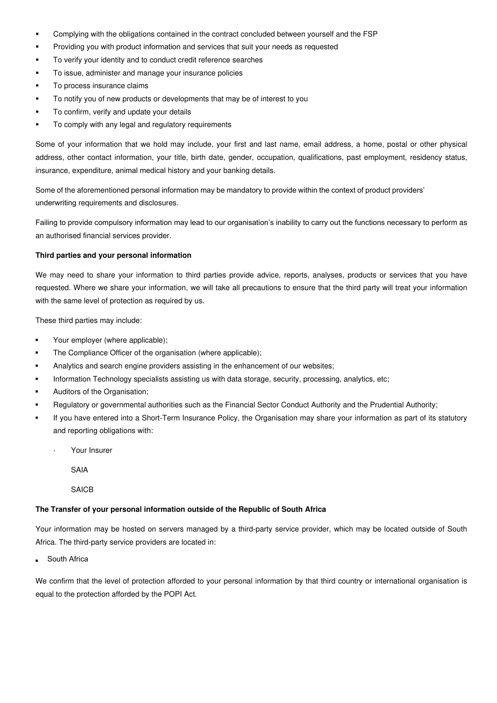- Complying with the obligations contained in the contract concluded between yourself and the FSP
- Providing you with product information and services that suit your needs as requested
- To verify your identity and to conduct credit reference searches
- To issue, administer and manage your insurance policies
- To process insurance claims
- To notify you of new products or developments that may be of interest to you
- To confirm, verify and update your details
- To comply with any legal and regulatory requirements

Some of your information that we hold may include, your first and last name, email address, a home, postal or other physical address, other contact information, your title, birth date, gender, occupation, qualifications, past employment, residency status, insurance, expenditure, animal medical history and your banking details.

Some of the aforementioned personal information may be mandatory to provide within the context of product providers' underwriting requirements and disclosures.

Failing to provide compulsory information may lead to our organisation's inability to carry out the functions necessary to perform as an authorised financial services provider.

#### **Third parties and your personal information**

We may need to share your information to third parties provide advice, reports, analyses, products or services that you have requested. Where we share your information, we will take all precautions to ensure that the third party will treat your information with the same level of protection as required by us.

These third parties may include:

- Your employer (where applicable);
- **•** The Compliance Officer of the organisation (where applicable);
- Analytics and search engine providers assisting in the enhancement of our websites;
- Information Technology specialists assisting us with data storage, security, processing, analytics, etc;
- Auditors of the Organisation:
- Regulatory or governmental authorities such as the Financial Sector Conduct Authority and the Prudential Authority;
- If you have entered into a Short-Term Insurance Policy, the Organisation may share your information as part of its statutory and reporting obligations with:
	- · Your Insurer
		- SAIA

**SAICB** 

#### **The Transfer of your personal information outside of the Republic of South Africa**

Your information may be hosted on servers managed by a third-party service provider, which may be located outside of South Africa. The third-party service providers are located in:

▪South Africa

We confirm that the level of protection afforded to your personal information by that third country or international organisation is equal to the protection afforded by the POPI Act.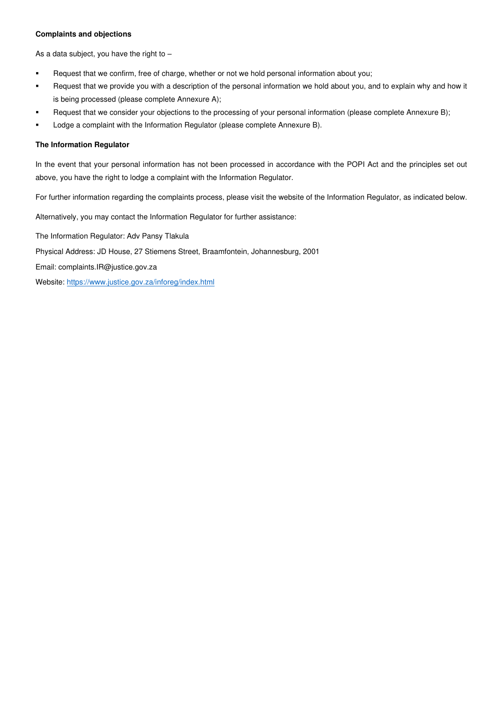## **Complaints and objections**

As a data subject, you have the right to  $-$ 

- **•** Request that we confirm, free of charge, whether or not we hold personal information about you;
- Request that we provide you with a description of the personal information we hold about you, and to explain why and how it is being processed (please complete Annexure A);
- Request that we consider your objections to the processing of your personal information (please complete Annexure B);
- **•** Lodge a complaint with the Information Regulator (please complete Annexure B).

#### **The Information Regulator**

In the event that your personal information has not been processed in accordance with the POPI Act and the principles set out above, you have the right to lodge a complaint with the Information Regulator.

For further information regarding the complaints process, please visit the website of the Information Regulator, as indicated below.

Alternatively, you may contact the Information Regulator for further assistance:

The Information Regulator: Adv Pansy Tlakula

Physical Address: JD House, 27 Stiemens Street, Braamfontein, Johannesburg, 2001

Email: complaints.IR@justice.gov.za

Website:<https://www.justice.gov.za/inforeg/index.html>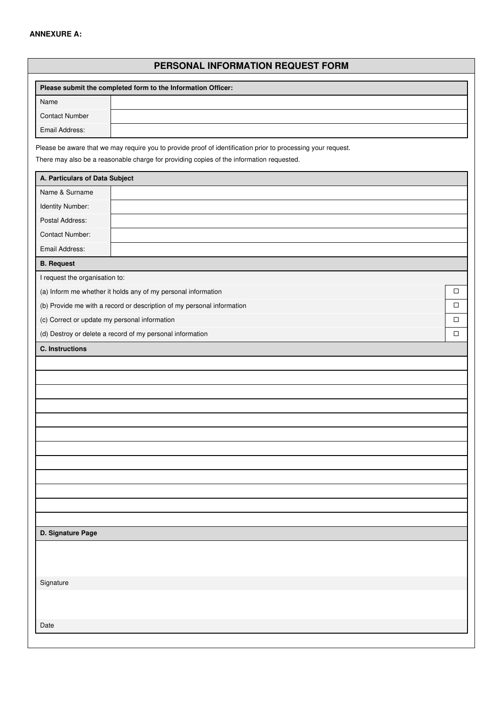# **ANNEXURE A:**

# **PERSONAL INFORMATION REQUEST FORM**

| Please submit the completed form to the Information Officer:           |                                                                                                                                                                                                          |        |  |
|------------------------------------------------------------------------|----------------------------------------------------------------------------------------------------------------------------------------------------------------------------------------------------------|--------|--|
| Name                                                                   |                                                                                                                                                                                                          |        |  |
| <b>Contact Number</b>                                                  |                                                                                                                                                                                                          |        |  |
| Email Address:                                                         |                                                                                                                                                                                                          |        |  |
|                                                                        | Please be aware that we may require you to provide proof of identification prior to processing your request.<br>There may also be a reasonable charge for providing copies of the information requested. |        |  |
| A. Particulars of Data Subject                                         |                                                                                                                                                                                                          |        |  |
| Name & Surname                                                         |                                                                                                                                                                                                          |        |  |
| Identity Number:                                                       |                                                                                                                                                                                                          |        |  |
| Postal Address:                                                        |                                                                                                                                                                                                          |        |  |
| <b>Contact Number:</b>                                                 |                                                                                                                                                                                                          |        |  |
| Email Address:                                                         |                                                                                                                                                                                                          |        |  |
| <b>B.</b> Request                                                      |                                                                                                                                                                                                          |        |  |
| I request the organisation to:                                         |                                                                                                                                                                                                          |        |  |
|                                                                        | (a) Inform me whether it holds any of my personal information                                                                                                                                            | $\Box$ |  |
| (b) Provide me with a record or description of my personal information |                                                                                                                                                                                                          | □      |  |
| (c) Correct or update my personal information                          |                                                                                                                                                                                                          | $\Box$ |  |
|                                                                        | (d) Destroy or delete a record of my personal information                                                                                                                                                | $\Box$ |  |
| <b>C.</b> Instructions                                                 |                                                                                                                                                                                                          |        |  |
|                                                                        |                                                                                                                                                                                                          |        |  |
|                                                                        |                                                                                                                                                                                                          |        |  |
|                                                                        |                                                                                                                                                                                                          |        |  |
|                                                                        |                                                                                                                                                                                                          |        |  |
|                                                                        |                                                                                                                                                                                                          |        |  |
|                                                                        |                                                                                                                                                                                                          |        |  |
|                                                                        |                                                                                                                                                                                                          |        |  |
|                                                                        |                                                                                                                                                                                                          |        |  |
|                                                                        |                                                                                                                                                                                                          |        |  |
|                                                                        |                                                                                                                                                                                                          |        |  |
|                                                                        |                                                                                                                                                                                                          |        |  |
|                                                                        |                                                                                                                                                                                                          |        |  |
| D. Signature Page                                                      |                                                                                                                                                                                                          |        |  |
|                                                                        |                                                                                                                                                                                                          |        |  |
|                                                                        |                                                                                                                                                                                                          |        |  |
|                                                                        |                                                                                                                                                                                                          |        |  |
| Signature                                                              |                                                                                                                                                                                                          |        |  |
|                                                                        |                                                                                                                                                                                                          |        |  |
|                                                                        |                                                                                                                                                                                                          |        |  |
| Date                                                                   |                                                                                                                                                                                                          |        |  |